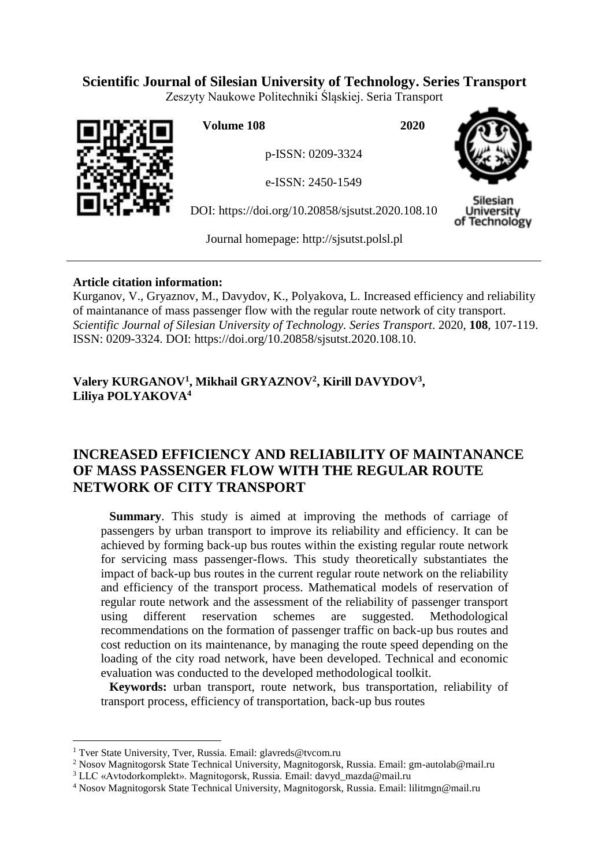# **Scientific Journal of Silesian University of Technology. Series Transport**

Zeszyty Naukowe Politechniki Śląskiej. Seria Transport



**Volume 108 2020**

p-ISSN: 0209-3324

e-ISSN: 2450-1549

DOI: https://doi.org/10.20858/sjsutst.2020.108.10



Silesiar Jniversity of Technology

Journal homepage: [http://sjsutst.polsl.pl](http://sjsutst.polsl.pl/)

# **Article citation information:**

Kurganov, V., Gryaznov, M., Davydov, K., Polyakova, L. Increased efficiency and reliability of maintanance of mass passenger flow with the regular route network of city transport. *Scientific Journal of Silesian University of Technology. Series Transport*. 2020, **108**, 107-119. ISSN: 0209-3324. DOI: https://doi.org/10.20858/sjsutst.2020.108.10.

# **Valery KURGANOV<sup>1</sup> , Mikhail GRYAZNOV<sup>2</sup> , Kirill DAVYDOV<sup>3</sup> , Liliya POLYAKOVA<sup>4</sup>**

# **INCREASED EFFICIENCY AND RELIABILITY OF MAINTANANCE OF MASS PASSENGER FLOW WITH THE REGULAR ROUTE NETWORK OF CITY TRANSPORT**

**Summary**. This study is aimed at improving the methods of carriage of passengers by urban transport to improve its reliability and efficiency. It can be achieved by forming back-up bus routes within the existing regular route network for servicing mass passenger-flows. This study theoretically substantiates the impact of back-up bus routes in the current regular route network on the reliability and efficiency of the transport process. Mathematical models of reservation of regular route network and the assessment of the reliability of passenger transport using different reservation schemes are suggested. Methodological recommendations on the formation of passenger traffic on back-up bus routes and cost reduction on its maintenance, by managing the route speed depending on the loading of the city road network, have been developed. Technical and economic evaluation was conducted to the developed methodological toolkit.

**Keywords:** urban transport, route network, bus transportation, reliability of transport process, efficiency of transportation, back-up bus routes

 $\overline{a}$ 

<sup>&</sup>lt;sup>1</sup> Tver State University, Tver, Russia. Email: glavreds@tvcom.ru

<sup>2</sup> Nosov Magnitogorsk State Technical University, Magnitogorsk, Russia. Email: gm-autolab@mail.ru

<sup>3</sup> LLC «Avtodorkomplekt». Magnitogorsk, Russia. Email: [davyd\\_mazda@mail.ru](mailto:davyd_mazda@mail.ru)

<sup>4</sup> Nosov Magnitogorsk State Technical University, Magnitogorsk, Russia. Email: lilitmgn@mail.ru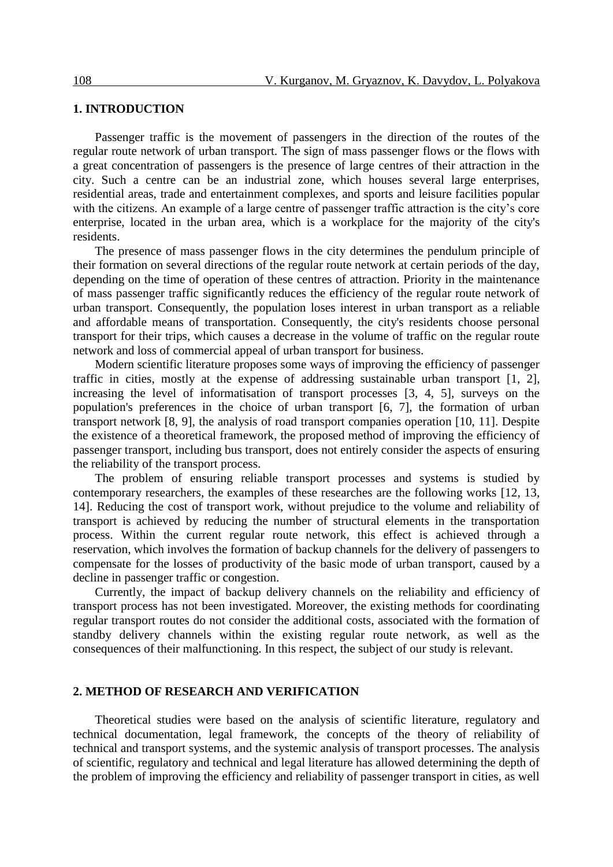### **1. INTRODUCTION**

Passenger traffic is the movement of passengers in the direction of the routes of the regular route network of urban transport. The sign of mass passenger flows or the flows with a great concentration of passengers is the presence of large centres of their attraction in the city. Such a centre can be an industrial zone, which houses several large enterprises, residential areas, trade and entertainment complexes, and sports and leisure facilities popular with the citizens. An example of a large centre of passenger traffic attraction is the city's core enterprise, located in the urban area, which is a workplace for the majority of the city's residents.

The presence of mass passenger flows in the city determines the pendulum principle of their formation on several directions of the regular route network at certain periods of the day, depending on the time of operation of these centres of attraction. Priority in the maintenance of mass passenger traffic significantly reduces the efficiency of the regular route network of urban transport. Consequently, the population loses interest in urban transport as a reliable and affordable means of transportation. Consequently, the city's residents choose personal transport for their trips, which causes a decrease in the volume of traffic on the regular route network and loss of commercial appeal of urban transport for business.

Modern scientific literature proposes some ways of improving the efficiency of passenger traffic in cities, mostly at the expense of addressing sustainable urban transport [1, 2], increasing the level of informatisation of transport processes [3, 4, 5], surveys on the population's preferences in the choice of urban transport [6, 7], the formation of urban transport network [8, 9], the analysis of road transport companies operation [10, 11]. Despite the existence of a theoretical framework, the proposed method of improving the efficiency of passenger transport, including bus transport, does not entirely consider the aspects of ensuring the reliability of the transport process.

The problem of ensuring reliable transport processes and systems is studied by contemporary researchers, the examples of these researches are the following works [12, 13, 14]. Reducing the cost of transport work, without prejudice to the volume and reliability of transport is achieved by reducing the number of structural elements in the transportation process. Within the current regular route network, this effect is achieved through a reservation, which involves the formation of backup channels for the delivery of passengers to compensate for the losses of productivity of the basic mode of urban transport, caused by a decline in passenger traffic or congestion.

Currently, the impact of backup delivery channels on the reliability and efficiency of transport process has not been investigated. Moreover, the existing methods for coordinating regular transport routes do not consider the additional costs, associated with the formation of standby delivery channels within the existing regular route network, as well as the consequences of their malfunctioning. In this respect, the subject of our study is relevant.

#### **2. METHOD OF RESEARCH AND VERIFICATION**

Theoretical studies were based on the analysis of scientific literature, regulatory and technical documentation, legal framework, the concepts of the theory of reliability of technical and transport systems, and the systemic analysis of transport processes. The analysis of scientific, regulatory and technical and legal literature has allowed determining the depth of the problem of improving the efficiency and reliability of passenger transport in cities, as well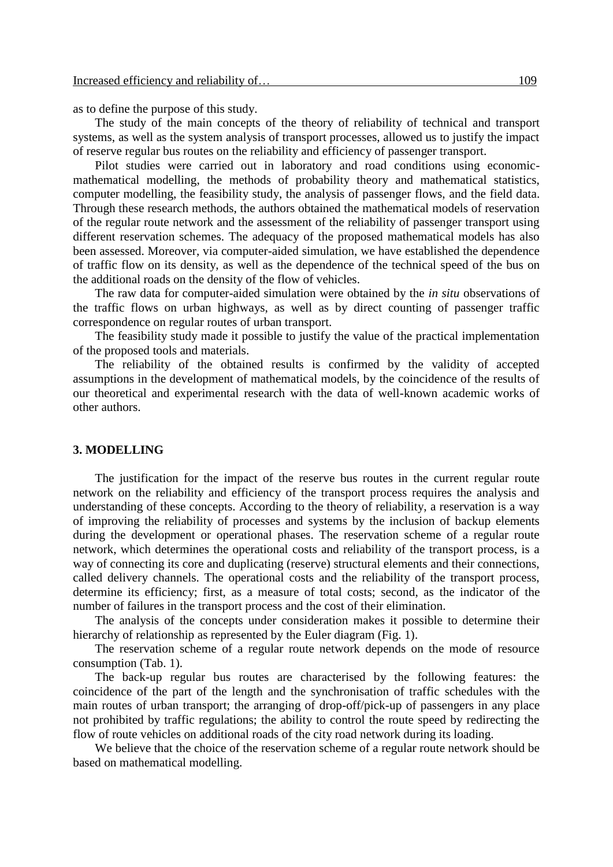as to define the purpose of this study.

The study of the main concepts of the theory of reliability of technical and transport systems, as well as the system analysis of transport processes, allowed us to justify the impact of reserve regular bus routes on the reliability and efficiency of passenger transport.

Pilot studies were carried out in laboratory and road conditions using economicmathematical modelling, the methods of probability theory and mathematical statistics, computer modelling, the feasibility study, the analysis of passenger flows, and the field data. Through these research methods, the authors obtained the mathematical models of reservation of the regular route network and the assessment of the reliability of passenger transport using different reservation schemes. The adequacy of the proposed mathematical models has also been assessed. Moreover, via computer-aided simulation, we have established the dependence of traffic flow on its density, as well as the dependence of the technical speed of the bus on the additional roads on the density of the flow of vehicles.

The raw data for computer-aided simulation were obtained by the *in situ* observations of the traffic flows on urban highways, as well as by direct counting of passenger traffic correspondence on regular routes of urban transport.

The feasibility study made it possible to justify the value of the practical implementation of the proposed tools and materials.

The reliability of the obtained results is confirmed by the validity of accepted assumptions in the development of mathematical models, by the coincidence of the results of our theoretical and experimental research with the data of well-known academic works of other authors.

#### **3. MODELLING**

The justification for the impact of the reserve bus routes in the current regular route network on the reliability and efficiency of the transport process requires the analysis and understanding of these concepts. According to the theory of reliability, a reservation is a way of improving the reliability of processes and systems by the inclusion of backup elements during the development or operational phases. The reservation scheme of a regular route network, which determines the operational costs and reliability of the transport process, is a way of connecting its core and duplicating (reserve) structural elements and their connections, called delivery channels. The operational costs and the reliability of the transport process, determine its efficiency; first, as a measure of total costs; second, as the indicator of the number of failures in the transport process and the cost of their elimination.

The analysis of the concepts under consideration makes it possible to determine their hierarchy of relationship as represented by the Euler diagram (Fig. 1).

The reservation scheme of a regular route network depends on the mode of resource consumption (Tab. 1).

The back-up regular bus routes are characterised by the following features: the coincidence of the part of the length and the synchronisation of traffic schedules with the main routes of urban transport; the arranging of drop-off/pick-up of passengers in any place not prohibited by traffic regulations; the ability to control the route speed by redirecting the flow of route vehicles on additional roads of the city road network during its loading.

We believe that the choice of the reservation scheme of a regular route network should be based on mathematical modelling.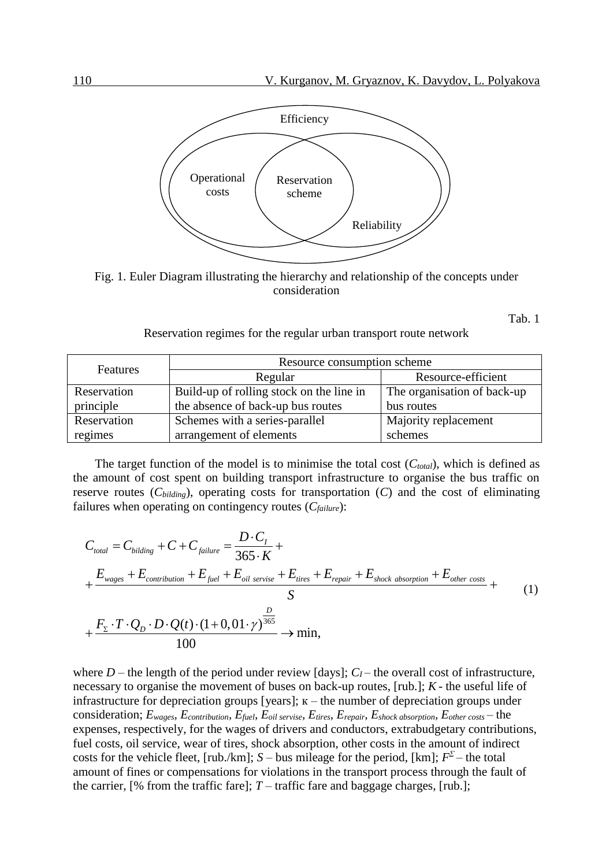

Fig. 1. Euler Diagram illustrating the hierarchy and relationship of the concepts under consideration

Tab. 1

Reservation regimes for the regular urban transport route network

| <b>Features</b> | Resource consumption scheme              |                             |  |  |  |
|-----------------|------------------------------------------|-----------------------------|--|--|--|
|                 | Regular                                  | Resource-efficient          |  |  |  |
| Reservation     | Build-up of rolling stock on the line in | The organisation of back-up |  |  |  |
| principle       | the absence of back-up bus routes        | bus routes                  |  |  |  |
| Reservation     | Schemes with a series-parallel           | Majority replacement        |  |  |  |
| regimes         | arrangement of elements                  | schemes                     |  |  |  |

The target function of the model is to minimise the total cost (*Ctotal*), which is defined as the amount of cost spent on building transport infrastructure to organise the bus traffic on failures when operating on contingency routes (*Cfailure*):

reserve routes (*C*<sub>biding</sub>), operating costs for transportation (*C*) and the cost of eliminating  
failures when operating on contingency routes (*C*<sub>failure</sub>):  
\n
$$
C_{total} = C_{bilding} + C + C_{failure} = \frac{D \cdot C_I}{365 \cdot K} + \frac{E_{wages} + E_{continuation} + E_{fuel} + E_{oil service} + E_{itres} + E_{repair} + E_{shock absorption} + E_{other costs}}{S} + \frac{F_{\Sigma} \cdot T \cdot Q_D \cdot D \cdot Q(t) \cdot (1 + 0, 01 \cdot \gamma)^{\frac{D}{365}}}{100} \rightarrow \text{min},
$$
\n(1)

where *D* – the length of the period under review [days];  $C_I$  – the overall cost of infrastructure, necessary to organise the movement of buses on back-up routes, [rub.]; *K* - the useful life of infrastructure for depreciation groups [years];  $\kappa$  – the number of depreciation groups under consideration;  $E_{wages}$ ,  $E_{contribution}$ ,  $E_{fuel}$ ,  $E_{oil}$  servise,  $E_{tires}$ ,  $E_{repair}$ ,  $E_{shock\,absorption}$ ,  $E_{other\,costs}$  – the expenses, respectively, for the wages of drivers and conductors, extrabudgetary contributions, fuel costs, oil service, wear of tires, shock absorption, other costs in the amount of indirect costs for the vehicle fleet, [rub./km];  $S$  – bus mileage for the period, [km];  $F^{\Sigma}$  – the total amount of fines or compensations for violations in the transport process through the fault of the carrier, [% from the traffic fare];  $T$  – traffic fare and baggage charges, [rub.];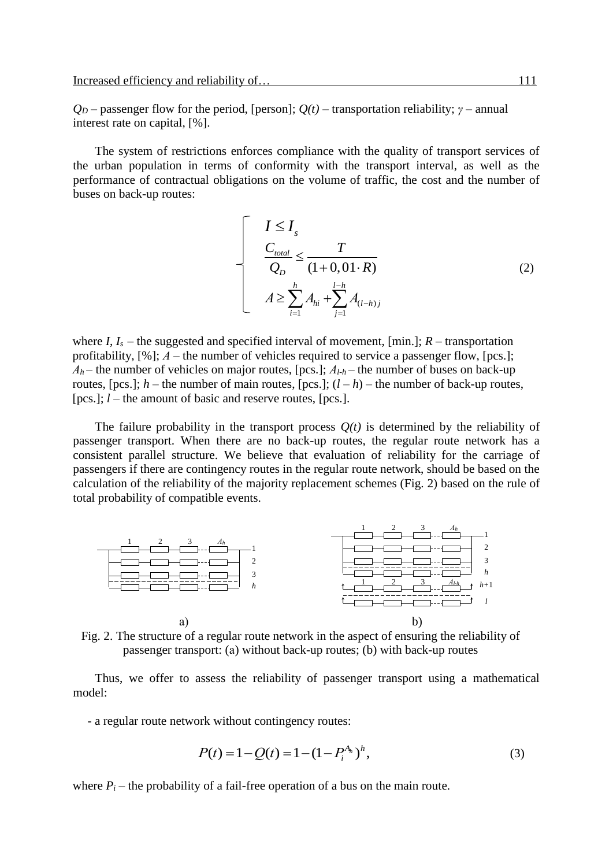$Q_D$  – passenger flow for the period, [person];  $Q(t)$  – transportation reliability; *γ* – annual interest rate on capital, [%].

The system of restrictions enforces compliance with the quality of transport services of the urban population in terms of conformity with the transport interval, as well as the performance of contractual obligations on the volume of traffic, the cost and the number of buses on back-up routes:

$$
\left\{\n\begin{aligned}\nI &\leq I_s \\
\frac{C_{total}}{Q_D} &\leq \frac{T}{(1+0,01\cdot R)} \\
A &\geq \sum_{i=1}^h A_{hi} + \sum_{j=1}^{l-h} A_{(l-h)j}\n\end{aligned}\n\right.\n\tag{2}
$$

where  $I, I_s$  – the suggested and specified interval of movement, [min.];  $R$  – transportation profitability,  $[\%]; A$  – the number of vehicles required to service a passenger flow,  $[pcs!]$ ;  $A_h$  – the number of vehicles on major routes, [pcs.];  $A_{l-h}$  – the number of buses on back-up routes,  $[pcs.]; h$  – the number of main routes,  $[pcs.]; (l-h)$  – the number of back-up routes, [pcs.]; *l* – the amount of basic and reserve routes, [pcs.].

The failure probability in the transport process  $O(t)$  is determined by the reliability of passenger transport. When there are no back-up routes, the regular route network has a consistent parallel structure. We believe that evaluation of reliability for the carriage of passengers if there are contingency routes in the regular route network, should be based on the calculation of the reliability of the majority replacement schemes (Fig. 2) based on the rule of total probability of compatible events.



Fig. 2. The structure of a regular route network in the aspect of ensuring the reliability of passenger transport: (а) without back-up routes; (b) with back-up routes

Thus, we offer to assess the reliability of passenger transport using a mathematical model:

- a regular route network without contingency routes:

$$
P(t) = 1 - Q(t) = 1 - (1 - P_i^{A_h})^h,
$$
\n(3)

where  $P_i$  – the probability of a fail-free operation of a bus on the main route.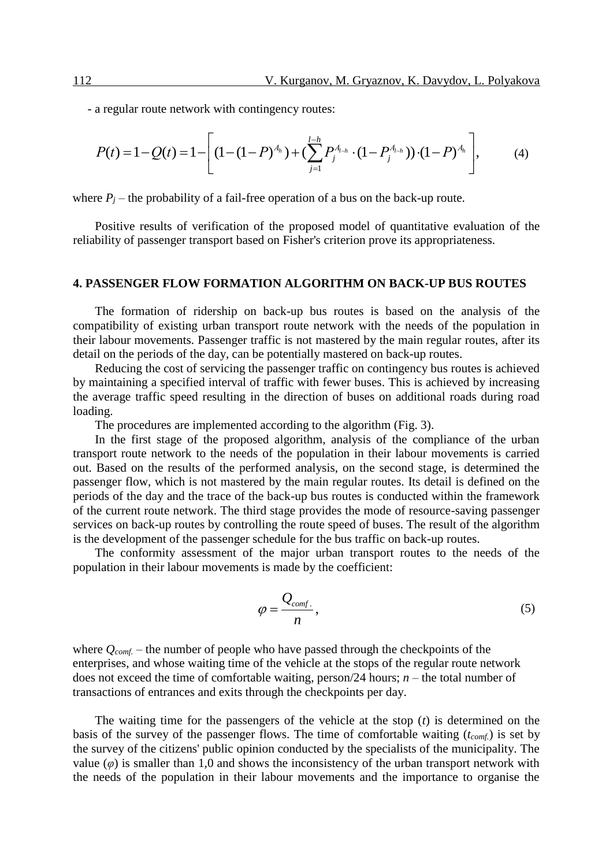- a regular route network with contingency routes:

a regular route network with contingency routes:  
\n
$$
P(t) = 1 - Q(t) = 1 - \left[ (1 - (1 - P)^{A_h}) + (\sum_{j=1}^{l-h} P_j^{A_{l-h}} \cdot (1 - P_j^{A_{l-h}})) \cdot (1 - P)^{A_h} \right],
$$
\n(4)

where  $P_i$  – the probability of a fail-free operation of a bus on the back-up route.

Positive results of verification of the proposed model of quantitative evaluation of the reliability of passenger transport based on Fisher's criterion prove its appropriateness.

#### **4. PASSENGER FLOW FORMATION ALGORITHM ON BACK-UP BUS ROUTES**

The formation of ridership on back-up bus routes is based on the analysis of the compatibility of existing urban transport route network with the needs of the population in their labour movements. Passenger traffic is not mastered by the main regular routes, after its detail on the periods of the day, can be potentially mastered on back-up routes.

Reducing the cost of servicing the passenger traffic on contingency bus routes is achieved by maintaining a specified interval of traffic with fewer buses. This is achieved by increasing the average traffic speed resulting in the direction of buses on additional roads during road loading.

The procedures are implemented according to the algorithm (Fig. 3).

In the first stage of the proposed algorithm, analysis of the compliance of the urban transport route network to the needs of the population in their labour movements is carried out. Based on the results of the performed analysis, on the second stage, is determined the passenger flow, which is not mastered by the main regular routes. Its detail is defined on the periods of the day and the trace of the back-up bus routes is conducted within the framework of the current route network. The third stage provides the mode of resource-saving passenger services on back-up routes by controlling the route speed of buses. The result of the algorithm is the development of the passenger schedule for the bus traffic on back-up routes.

The conformity assessment of the major urban transport routes to the needs of the population in their labour movements is made by the coefficient:

$$
\varphi = \frac{Q_{conf.}}{n},\tag{5}
$$

where *Qcomf.* – the number of people who have passed through the checkpoints of the enterprises, and whose waiting time of the vehicle at the stops of the regular route network does not exceed the time of comfortable waiting, person/24 hours;  $n -$  the total number of transactions of entrances and exits through the checkpoints per day.

The waiting time for the passengers of the vehicle at the stop (*t*) is determined on the basis of the survey of the passenger flows. The time of comfortable waiting (*tcomf.*) is set by the survey of the citizens' public opinion conducted by the specialists of the municipality. The value  $(\varphi)$  is smaller than 1,0 and shows the inconsistency of the urban transport network with the needs of the population in their labour movements and the importance to organise the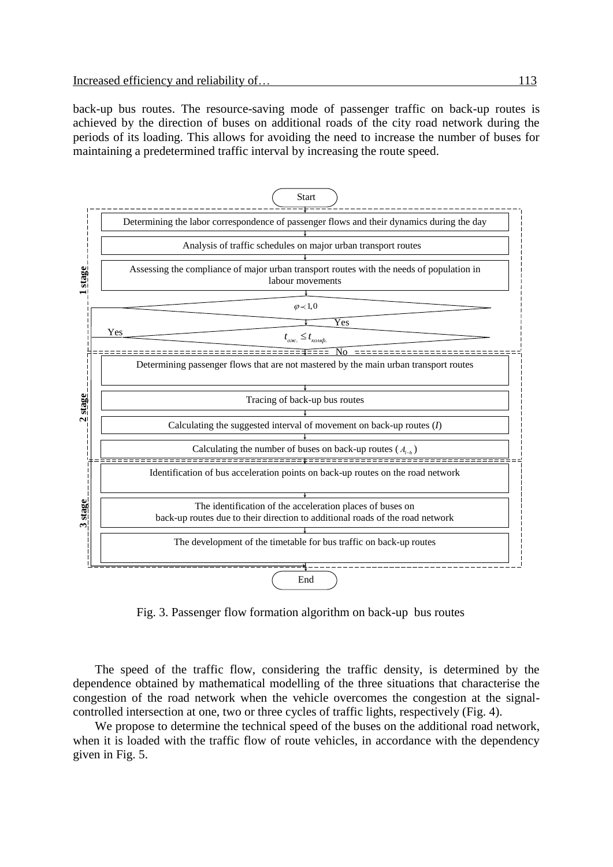back-up bus routes. The resource-saving mode of passenger traffic on back-up routes is achieved by the direction of buses on additional roads of the city road network during the periods of its loading. This allows for avoiding the need to increase the number of buses for maintaining a predetermined traffic interval by increasing the route speed.



Fig. 3. Passenger flow formation algorithm on back-up bus routes

The speed of the traffic flow, considering the traffic density, is determined by the dependence obtained by mathematical modelling of the three situations that characterise the congestion of the road network when the vehicle overcomes the congestion at the signalcontrolled intersection at one, two or three cycles of traffic lights, respectively (Fig. 4).

We propose to determine the technical speed of the buses on the additional road network, when it is loaded with the traffic flow of route vehicles, in accordance with the dependency given in Fig. 5.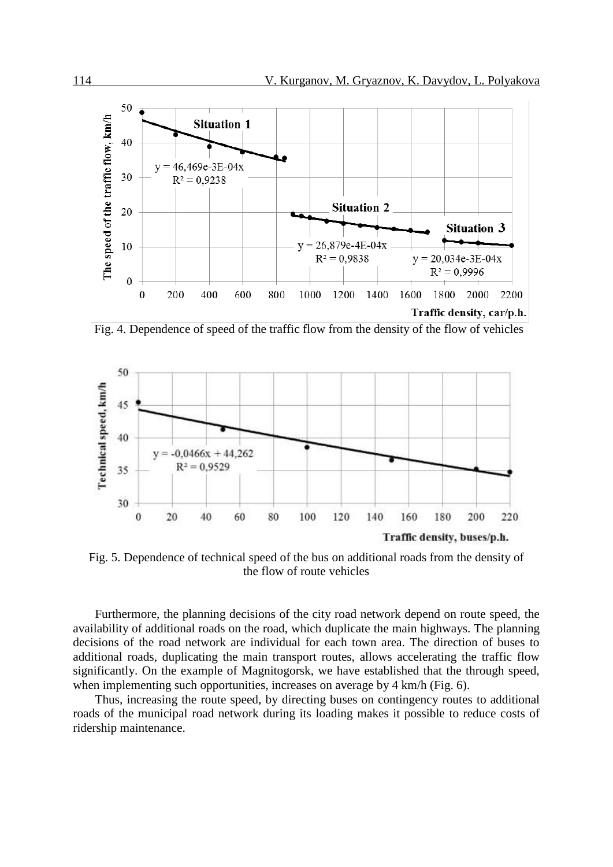

Fig. 4. Dependence of speed of the traffic flow from the density of the flow of vehicles



Fig. 5. Dependence of technical speed of the bus on additional roads from the density of the flow of route vehicles

Furthermore, the planning decisions of the city road network depend on route speed, the availability of additional roads on the road, which duplicate the main highways. The planning decisions of the road network are individual for each town area. The direction of buses to additional roads, duplicating the main transport routes, allows accelerating the traffic flow significantly. On the example of Magnitogorsk, we have established that the through speed, when implementing such opportunities, increases on average by 4 km/h (Fig. 6).

Thus, increasing the route speed, by directing buses on contingency routes to additional roads of the municipal road network during its loading makes it possible to reduce costs of ridership maintenance.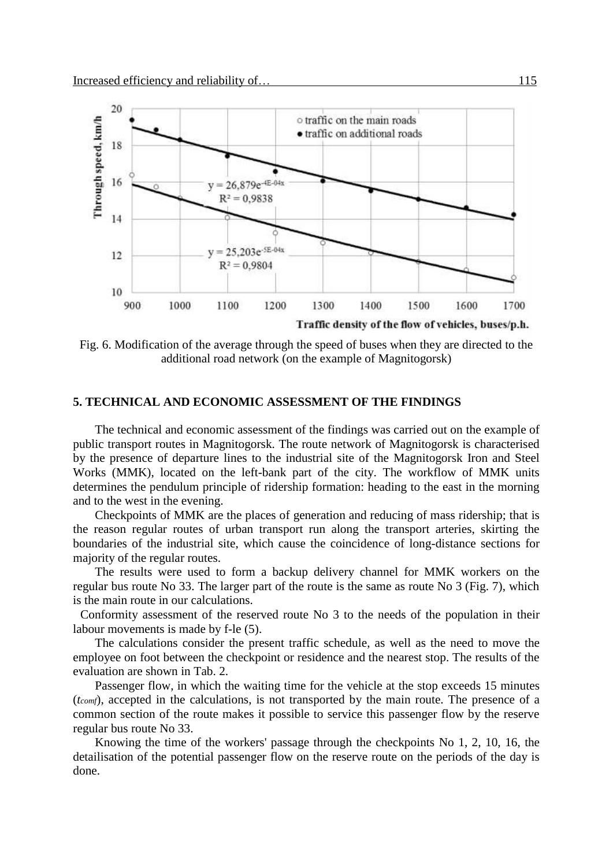

Fig. 6. Modification of the average through the speed of buses when they are directed to the additional road network (on the example of Magnitogorsk)

## **5. TECHNICAL AND ECONOMIC ASSESSMENT OF THE FINDINGS**

The technical and economic assessment of the findings was carried out on the example of public transport routes in Magnitogorsk. The route network of Magnitogorsk is characterised by the presence of departure lines to the industrial site of the Magnitogorsk Iron and Steel Works (MMK), located on the left-bank part of the city. The workflow of MMK units determines the pendulum principle of ridership formation: heading to the east in the morning and to the west in the evening.

Checkpoints of MMK are the places of generation and reducing of mass ridership; that is the reason regular routes of urban transport run along the transport arteries, skirting the boundaries of the industrial site, which cause the coincidence of long-distance sections for majority of the regular routes.

The results were used to form a backup delivery channel for MMK workers on the regular bus route No 33. The larger part of the route is the same as route No 3 (Fig. 7), which is the main route in our calculations.

Conformity assessment of the reserved route No 3 to the needs of the population in their labour movements is made by f-le (5).

The calculations consider the present traffic schedule, as well as the need to move the employee on foot between the checkpoint or residence and the nearest stop. The results of the evaluation are shown in Tab. 2.

Passenger flow, in which the waiting time for the vehicle at the stop exceeds 15 minutes (*tcomf*), accepted in the calculations, is not transported by the main route. The presence of a common section of the route makes it possible to service this passenger flow by the reserve regular bus route No 33.

Knowing the time of the workers' passage through the checkpoints No 1, 2, 10, 16, the detailisation of the potential passenger flow on the reserve route on the periods of the day is done.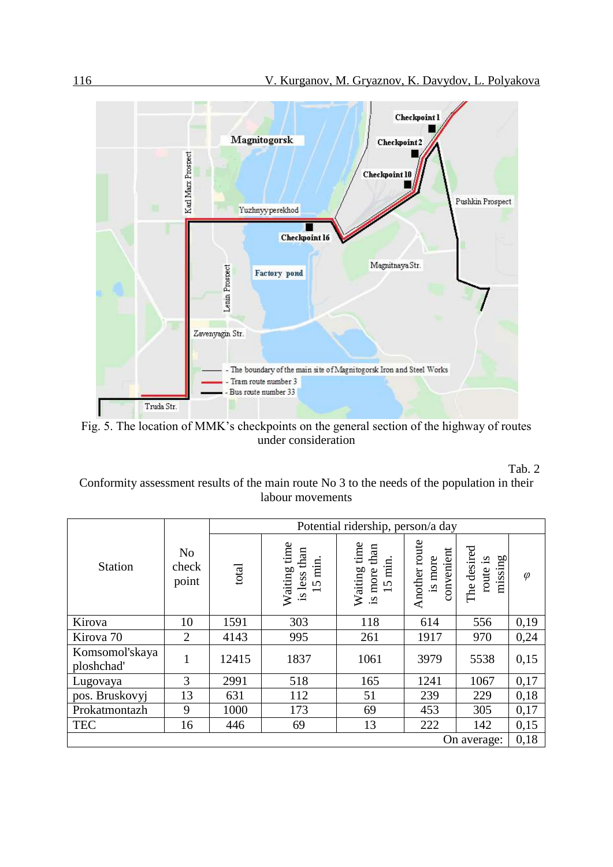

Fig. 5. The location of MMK's checkpoints on the general section of the highway of routes under consideration

## Tab. 2

Conformity assessment results of the main route No 3 to the needs of the population in their labour movements

|                              | N <sub>o</sub><br>check<br>point | Potential ridership, person/a day |                                            |                                            |                                        |                                    |           |
|------------------------------|----------------------------------|-----------------------------------|--------------------------------------------|--------------------------------------------|----------------------------------------|------------------------------------|-----------|
| <b>Station</b>               |                                  | total                             | Waiting time<br>is less than<br>min.<br>15 | Waiting time<br>than<br>15 min.<br>is more | Another route<br>convenient<br>is more | The desired<br>missing<br>route is | $\varphi$ |
| Kirova                       | 10                               | 1591                              | 303                                        | 118                                        | 614                                    | 556                                | 0,19      |
| Kirova <sub>70</sub>         | $\overline{2}$                   | 4143                              | 995                                        | 261                                        | 1917                                   | 970                                | 0,24      |
| Komsomol'skaya<br>ploshchad' | $\mathbf{1}$                     | 12415                             | 1837                                       | 1061                                       | 3979                                   | 5538                               | 0,15      |
| Lugovaya                     | 3                                | 2991                              | 518                                        | 165                                        | 1241                                   | 1067                               | 0,17      |
| pos. Bruskovyj               | 13                               | 631                               | 112                                        | 51                                         | 239                                    | 229                                | 0,18      |
| Prokatmontazh                | 9                                | 1000                              | 173                                        | 69                                         | 453                                    | 305                                | 0,17      |
| <b>TEC</b>                   | 16                               | 446                               | 69                                         | 13                                         | 222                                    | 142                                | 0,15      |
| On average:                  |                                  |                                   |                                            |                                            |                                        |                                    |           |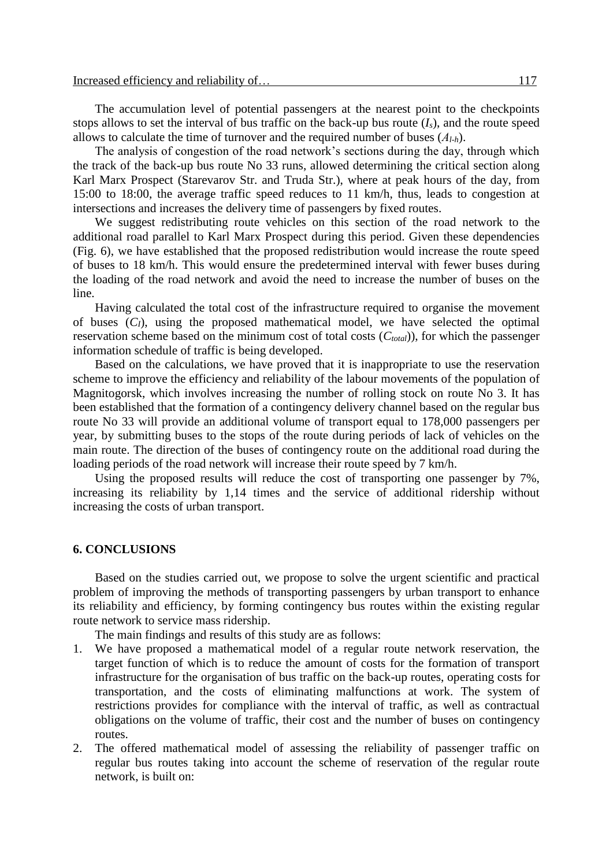The accumulation level of potential passengers at the nearest point to the checkpoints stops allows to set the interval of bus traffic on the back-up bus route  $(I_s)$ , and the route speed allows to calculate the time of turnover and the required number of buses (*Аl-h*).

The analysis of congestion of the road network's sections during the day, through which the track of the back-up bus route No 33 runs, allowed determining the critical section along Karl Marx Prospect (Starevarov Str. and Truda Str.), where at peak hours of the day, from 15:00 to 18:00, the average traffic speed reduces to 11 km/h, thus, leads to congestion at intersections and increases the delivery time of passengers by fixed routes.

We suggest redistributing route vehicles on this section of the road network to the additional road parallel to Karl Marx Prospect during this period. Given these dependencies (Fig. 6), we have established that the proposed redistribution would increase the route speed of buses to 18 km/h. This would ensure the predetermined interval with fewer buses during the loading of the road network and avoid the need to increase the number of buses on the line.

Having calculated the total cost of the infrastructure required to organise the movement of buses (*CI*), using the proposed mathematical model, we have selected the optimal reservation scheme based on the minimum cost of total costs (*Ctotal*)), for which the passenger information schedule of traffic is being developed.

Based on the calculations, we have proved that it is inappropriate to use the reservation scheme to improve the efficiency and reliability of the labour movements of the population of Magnitogorsk, which involves increasing the number of rolling stock on route No 3. It has been established that the formation of a contingency delivery channel based on the regular bus route No 33 will provide an additional volume of transport equal to 178,000 passengers per year, by submitting buses to the stops of the route during periods of lack of vehicles on the main route. The direction of the buses of contingency route on the additional road during the loading periods of the road network will increase their route speed by 7 km/h.

Using the proposed results will reduce the cost of transporting one passenger by 7%, increasing its reliability by 1,14 times and the service of additional ridership without increasing the costs of urban transport.

#### **6. CONCLUSIONS**

Based on the studies carried out, we propose to solve the urgent scientific and practical problem of improving the methods of transporting passengers by urban transport to enhance its reliability and efficiency, by forming contingency bus routes within the existing regular route network to service mass ridership.

The main findings and results of this study are as follows:

- 1. We have proposed a mathematical model of a regular route network reservation, the target function of which is to reduce the amount of costs for the formation of transport infrastructure for the organisation of bus traffic on the back-up routes, operating costs for transportation, and the costs of eliminating malfunctions at work. The system of restrictions provides for compliance with the interval of traffic, as well as contractual obligations on the volume of traffic, their cost and the number of buses on contingency routes.
- 2. The offered mathematical model of assessing the reliability of passenger traffic on regular bus routes taking into account the scheme of reservation of the regular route network, is built on: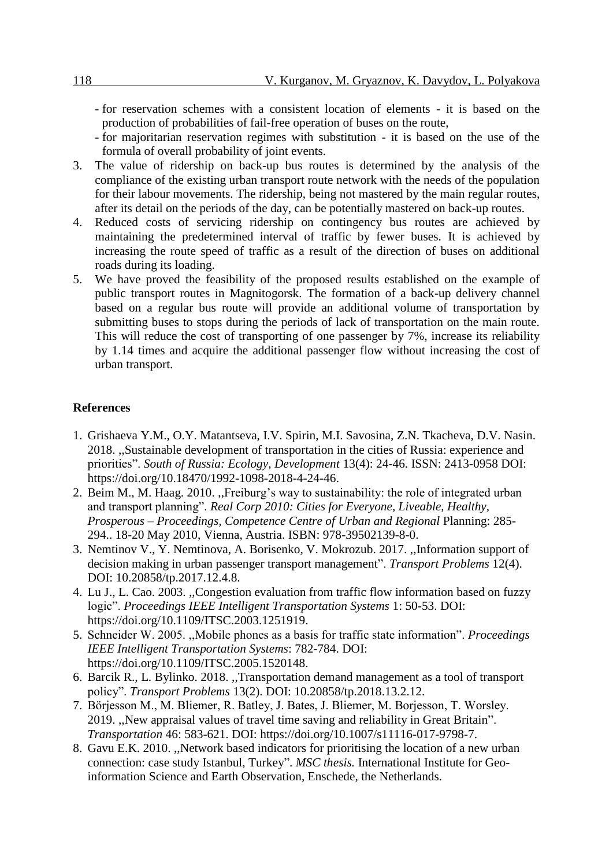- for reservation schemes with a consistent location of elements it is based on the production of probabilities of fail-free operation of buses on the route,
- for majoritarian reservation regimes with substitution it is based on the use of the formula of overall probability of joint events.
- 3. The value of ridership on back-up bus routes is determined by the analysis of the compliance of the existing urban transport route network with the needs of the population for their labour movements. The ridership, being not mastered by the main regular routes, after its detail on the periods of the day, can be potentially mastered on back-up routes.
- 4. Reduced costs of servicing ridership on contingency bus routes are achieved by maintaining the predetermined interval of traffic by fewer buses. It is achieved by increasing the route speed of traffic as a result of the direction of buses on additional roads during its loading.
- 5. We have proved the feasibility of the proposed results established on the example of public transport routes in Magnitogorsk. The formation of a back-up delivery channel based on a regular bus route will provide an additional volume of transportation by submitting buses to stops during the periods of lack of transportation on the main route. This will reduce the cost of transporting of one passenger by 7%, increase its reliability by 1.14 times and acquire the additional passenger flow without increasing the cost of urban transport.

## **References**

- 1. Grishaeva Y.M., O.Y. Matantseva, I.V. Spirin, M.I. Savosina, Z.N. Tkacheva, D.V. Nasin. 2018. ,,Sustainable development of transportation in the cities of Russia: experience and priorities". *South of Russia: Ecology, Development* 13(4): 24-46. ISSN: 2413-0958 DOI: [https://doi.org/10.18470/1992-1098-2018-4-24-46.](https://doi.org/10.18470/1992-1098-2018-4-24-46)
- 2. Beim M., M. Haag. 2010. ,,Freiburg's way to sustainability: the role of integrated urban and transport planning". *Real Corp 2010: Cities for Everyone, Liveable, Healthy, Prosperous – Proceedings, Competence Centre of Urban and Regional* Planning: 285- 294.. 18-20 May 2010, Vienna, Austria. ISBN: 978-39502139-8-0.
- 3. Nemtinov V., Y. Nemtinova, A. Borisenko, V. Mokrozub. 2017. ,,Information support of decision making in urban passenger transport management". *Transport Problems* 12(4). DOI: 10.20858/tp.2017.12.4.8.
- 4. Lu J., L. Cao. 2003. ,,Congestion evaluation from traffic flow information based on fuzzy logic". *Proceedings IEEE Intelligent Transportation Systems* 1: 50-53. DOI: <https://doi.org/>[10.1109/ITSC.2003.1251919.](https://doi.org/10.1109/ITSC.2003.1251919)
- 5. Schneider W. 2005. ,,Mobile phones as a basis for traffic state information". *Proceedings IEEE Intelligent Transportation Systems*: 782-784. DOI: <https://doi.org/>[10.1109/ITSC.2005.1520148.](https://doi.org/10.1109/ITSC.2005.1520148)
- 6. Barcik R., L. Bylinko. 2018. ,,Transportation demand management as a tool of transport policy". *Transport Problems* 13(2). DOI: 10.20858/tp.2018.13.2.12.
- 7. Börjesson M., M. Bliemer, R. Batley, J. Bates, J. Bliemer, M. Borjesson, T. Worsley. 2019. ,,New appraisal values of travel time saving and reliability in Great Britain". *[Transportation](https://link.springer.com/journal/11116)* 46: 583-621. DOI: [https://doi.org/10.1007/s11116-017-9798-7.](https://doi.org/10.1007/s11116-017-9798-7)
- 8. Gavu E.K. 2010. ,,Network based indicators for prioritising the location of a new urban connection: case study Istanbul, Turkey". *MSC thesis.* International Institute for Geoinformation Science and Earth Observation, Enschede, the Netherlands.